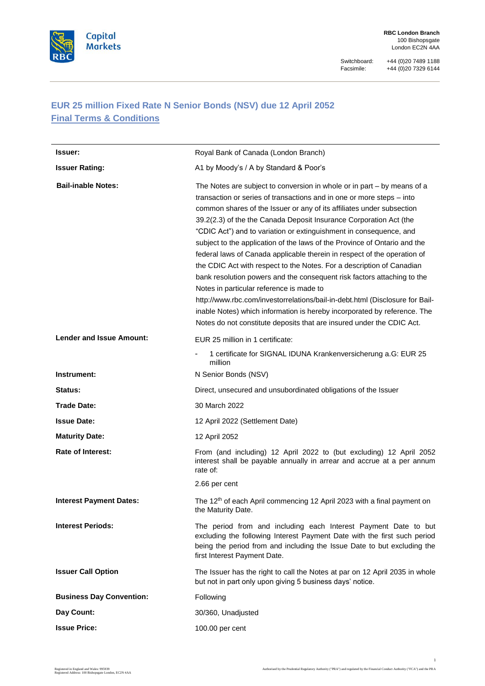

Switchboard: +44 (0) 20 7489 1188<br>Facsimile: +44 (0) 20 7329 6144 Facsimile: +44 (0)20 7329 6144

# **EUR 25 million Fixed Rate N Senior Bonds (NSV) due 12 April 2052 Final Terms & Conditions**

| <b>Issuer:</b>                  | Royal Bank of Canada (London Branch)                                                                                                                                                                                                                                                                                                                                                                                                                                                                                                                                                                                                                                                                                                                                                                                                                                                                                                                                |
|---------------------------------|---------------------------------------------------------------------------------------------------------------------------------------------------------------------------------------------------------------------------------------------------------------------------------------------------------------------------------------------------------------------------------------------------------------------------------------------------------------------------------------------------------------------------------------------------------------------------------------------------------------------------------------------------------------------------------------------------------------------------------------------------------------------------------------------------------------------------------------------------------------------------------------------------------------------------------------------------------------------|
| <b>Issuer Rating:</b>           | A1 by Moody's / A by Standard & Poor's                                                                                                                                                                                                                                                                                                                                                                                                                                                                                                                                                                                                                                                                                                                                                                                                                                                                                                                              |
| <b>Bail-inable Notes:</b>       | The Notes are subject to conversion in whole or in part – by means of a<br>transaction or series of transactions and in one or more steps – into<br>common shares of the Issuer or any of its affiliates under subsection<br>39.2(2.3) of the the Canada Deposit Insurance Corporation Act (the<br>"CDIC Act") and to variation or extinguishment in consequence, and<br>subject to the application of the laws of the Province of Ontario and the<br>federal laws of Canada applicable therein in respect of the operation of<br>the CDIC Act with respect to the Notes. For a description of Canadian<br>bank resolution powers and the consequent risk factors attaching to the<br>Notes in particular reference is made to<br>http://www.rbc.com/investorrelations/bail-in-debt.html (Disclosure for Bail-<br>inable Notes) which information is hereby incorporated by reference. The<br>Notes do not constitute deposits that are insured under the CDIC Act. |
| <b>Lender and Issue Amount:</b> | EUR 25 million in 1 certificate:                                                                                                                                                                                                                                                                                                                                                                                                                                                                                                                                                                                                                                                                                                                                                                                                                                                                                                                                    |
|                                 | 1 certificate for SIGNAL IDUNA Krankenversicherung a.G: EUR 25<br>$\overline{\phantom{a}}$<br>million                                                                                                                                                                                                                                                                                                                                                                                                                                                                                                                                                                                                                                                                                                                                                                                                                                                               |
| Instrument:                     | N Senior Bonds (NSV)                                                                                                                                                                                                                                                                                                                                                                                                                                                                                                                                                                                                                                                                                                                                                                                                                                                                                                                                                |
| Status:                         | Direct, unsecured and unsubordinated obligations of the Issuer                                                                                                                                                                                                                                                                                                                                                                                                                                                                                                                                                                                                                                                                                                                                                                                                                                                                                                      |
| Trade Date:                     | 30 March 2022                                                                                                                                                                                                                                                                                                                                                                                                                                                                                                                                                                                                                                                                                                                                                                                                                                                                                                                                                       |
| <b>Issue Date:</b>              | 12 April 2022 (Settlement Date)                                                                                                                                                                                                                                                                                                                                                                                                                                                                                                                                                                                                                                                                                                                                                                                                                                                                                                                                     |
| <b>Maturity Date:</b>           | 12 April 2052                                                                                                                                                                                                                                                                                                                                                                                                                                                                                                                                                                                                                                                                                                                                                                                                                                                                                                                                                       |
| <b>Rate of Interest:</b>        | From (and including) 12 April 2022 to (but excluding) 12 April 2052<br>interest shall be payable annually in arrear and accrue at a per annum<br>rate of:                                                                                                                                                                                                                                                                                                                                                                                                                                                                                                                                                                                                                                                                                                                                                                                                           |
|                                 | 2.66 per cent                                                                                                                                                                                                                                                                                                                                                                                                                                                                                                                                                                                                                                                                                                                                                                                                                                                                                                                                                       |
| <b>Interest Payment Dates:</b>  | The 12 <sup>th</sup> of each April commencing 12 April 2023 with a final payment on<br>the Maturity Date.                                                                                                                                                                                                                                                                                                                                                                                                                                                                                                                                                                                                                                                                                                                                                                                                                                                           |
| <b>Interest Periods:</b>        | The period from and including each Interest Payment Date to but<br>excluding the following Interest Payment Date with the first such period<br>being the period from and including the Issue Date to but excluding the<br>first Interest Payment Date.                                                                                                                                                                                                                                                                                                                                                                                                                                                                                                                                                                                                                                                                                                              |
| <b>Issuer Call Option</b>       | The Issuer has the right to call the Notes at par on 12 April 2035 in whole<br>but not in part only upon giving 5 business days' notice.                                                                                                                                                                                                                                                                                                                                                                                                                                                                                                                                                                                                                                                                                                                                                                                                                            |
| <b>Business Day Convention:</b> | Following                                                                                                                                                                                                                                                                                                                                                                                                                                                                                                                                                                                                                                                                                                                                                                                                                                                                                                                                                           |
| Day Count:                      | 30/360, Unadjusted                                                                                                                                                                                                                                                                                                                                                                                                                                                                                                                                                                                                                                                                                                                                                                                                                                                                                                                                                  |
| <b>Issue Price:</b>             | 100.00 per cent                                                                                                                                                                                                                                                                                                                                                                                                                                                                                                                                                                                                                                                                                                                                                                                                                                                                                                                                                     |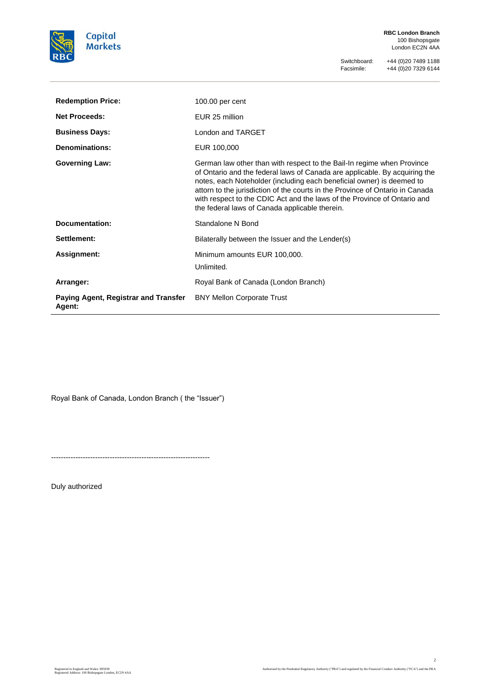

**RBC London Branch** 100 Bishopsgate London EC2N 4AA

Switchboard: +44 (0)20 7489 1188<br>Facsimile: +44 (0)20 7329 6144 Facsimile: +44 (0)20 7329 6144

| <b>Redemption Price:</b>                              | $100.00$ per cent                                                                                                                                                                                                                                                                                                                                                                                                                            |
|-------------------------------------------------------|----------------------------------------------------------------------------------------------------------------------------------------------------------------------------------------------------------------------------------------------------------------------------------------------------------------------------------------------------------------------------------------------------------------------------------------------|
| <b>Net Proceeds:</b>                                  | EUR 25 million                                                                                                                                                                                                                                                                                                                                                                                                                               |
| <b>Business Days:</b>                                 | London and TARGET                                                                                                                                                                                                                                                                                                                                                                                                                            |
| <b>Denominations:</b>                                 | EUR 100,000                                                                                                                                                                                                                                                                                                                                                                                                                                  |
| <b>Governing Law:</b>                                 | German law other than with respect to the Bail-In regime when Province<br>of Ontario and the federal laws of Canada are applicable. By acquiring the<br>notes, each Noteholder (including each beneficial owner) is deemed to<br>attorn to the jurisdiction of the courts in the Province of Ontario in Canada<br>with respect to the CDIC Act and the laws of the Province of Ontario and<br>the federal laws of Canada applicable therein. |
| <b>Documentation:</b>                                 | Standalone N Bond                                                                                                                                                                                                                                                                                                                                                                                                                            |
| Settlement:                                           | Bilaterally between the Issuer and the Lender(s)                                                                                                                                                                                                                                                                                                                                                                                             |
| Assignment:                                           | Minimum amounts EUR 100,000.<br>Unlimited.                                                                                                                                                                                                                                                                                                                                                                                                   |
| Arranger:                                             | Royal Bank of Canada (London Branch)                                                                                                                                                                                                                                                                                                                                                                                                         |
| Paying Agent, Registrar and Transfer<br><b>Agent:</b> | <b>BNY Mellon Corporate Trust</b>                                                                                                                                                                                                                                                                                                                                                                                                            |

Royal Bank of Canada, London Branch ( the "Issuer")

-----------------------------------------------------------------

Duly authorized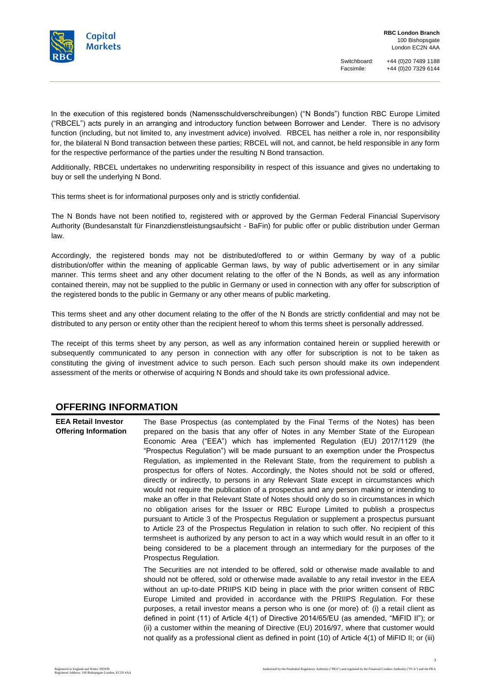

Switchboard: +44 (0)20 7489 1188<br>Facsimile: +44 (0)20 7329 6144 Facsimile: +44 (0)20 7329 6144

In the execution of this registered bonds (Namensschuldverschreibungen) ("N Bonds") function RBC Europe Limited ("RBCEL") acts purely in an arranging and introductory function between Borrower and Lender. There is no advisory function (including, but not limited to, any investment advice) involved. RBCEL has neither a role in, nor responsibility for, the bilateral N Bond transaction between these parties; RBCEL will not, and cannot, be held responsible in any form for the respective performance of the parties under the resulting N Bond transaction.

Additionally, RBCEL undertakes no underwriting responsibility in respect of this issuance and gives no undertaking to buy or sell the underlying N Bond.

This terms sheet is for informational purposes only and is strictly confidential.

The N Bonds have not been notified to, registered with or approved by the German Federal Financial Supervisory Authority (Bundesanstalt für Finanzdienstleistungsaufsicht - BaFin) for public offer or public distribution under German law.

Accordingly, the registered bonds may not be distributed/offered to or within Germany by way of a public distribution/offer within the meaning of applicable German laws, by way of public advertisement or in any similar manner. This terms sheet and any other document relating to the offer of the N Bonds, as well as any information contained therein, may not be supplied to the public in Germany or used in connection with any offer for subscription of the registered bonds to the public in Germany or any other means of public marketing.

This terms sheet and any other document relating to the offer of the N Bonds are strictly confidential and may not be distributed to any person or entity other than the recipient hereof to whom this terms sheet is personally addressed.

The receipt of this terms sheet by any person, as well as any information contained herein or supplied herewith or subsequently communicated to any person in connection with any offer for subscription is not to be taken as constituting the giving of investment advice to such person. Each such person should make its own independent assessment of the merits or otherwise of acquiring N Bonds and should take its own professional advice.

### **OFFERING INFORMATION**

**EEA Retail Investor Offering Information** The Base Prospectus (as contemplated by the Final Terms of the Notes) has been prepared on the basis that any offer of Notes in any Member State of the European Economic Area ("EEA") which has implemented Regulation (EU) 2017/1129 (the "Prospectus Regulation") will be made pursuant to an exemption under the Prospectus Regulation, as implemented in the Relevant State, from the requirement to publish a prospectus for offers of Notes. Accordingly, the Notes should not be sold or offered, directly or indirectly, to persons in any Relevant State except in circumstances which would not require the publication of a prospectus and any person making or intending to make an offer in that Relevant State of Notes should only do so in circumstances in which no obligation arises for the Issuer or RBC Europe Limited to publish a prospectus pursuant to Article 3 of the Prospectus Regulation or supplement a prospectus pursuant to Article 23 of the Prospectus Regulation in relation to such offer. No recipient of this termsheet is authorized by any person to act in a way which would result in an offer to it being considered to be a placement through an intermediary for the purposes of the Prospectus Regulation. The Securities are not intended to be offered, sold or otherwise made available to and should not be offered, sold or otherwise made available to any retail investor in the EEA without an up-to-date PRIIPS KID being in place with the prior written consent of RBC Europe Limited and provided in accordance with the PRIIPS Regulation. For these purposes, a retail investor means a person who is one (or more) of: (i) a retail client as defined in point (11) of Article 4(1) of Directive 2014/65/EU (as amended, "MiFID II"); or (ii) a customer within the meaning of Directive (EU) 2016/97, where that customer would

not qualify as a professional client as defined in point (10) of Article 4(1) of MiFID II; or (iii)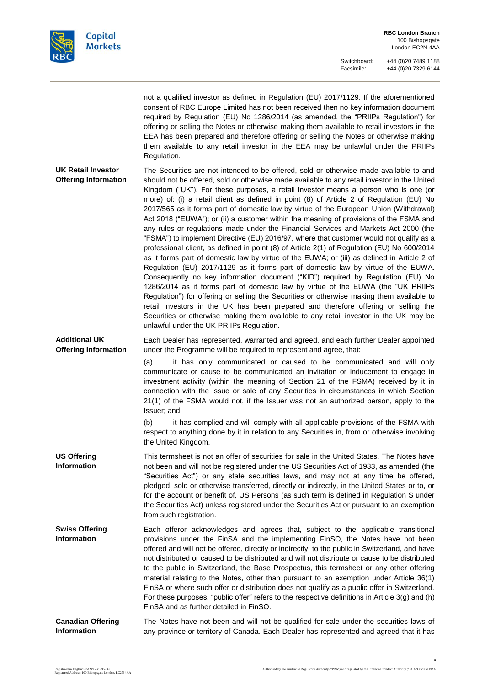

not a qualified investor as defined in Regulation (EU) 2017/1129. If the aforementioned consent of RBC Europe Limited has not been received then no key information document required by Regulation (EU) No 1286/2014 (as amended, the "PRIIPs Regulation") for offering or selling the Notes or otherwise making them available to retail investors in the EEA has been prepared and therefore offering or selling the Notes or otherwise making them available to any retail investor in the EEA may be unlawful under the PRIIPs Regulation.

**UK Retail Investor Offering Information** The Securities are not intended to be offered, sold or otherwise made available to and should not be offered, sold or otherwise made available to any retail investor in the United Kingdom ("UK"). For these purposes, a retail investor means a person who is one (or more) of: (i) a retail client as defined in point (8) of Article 2 of Regulation (EU) No 2017/565 as it forms part of domestic law by virtue of the European Union (Withdrawal) Act 2018 ("EUWA"); or (ii) a customer within the meaning of provisions of the FSMA and any rules or regulations made under the Financial Services and Markets Act 2000 (the "FSMA") to implement Directive (EU) 2016/97, where that customer would not qualify as a professional client, as defined in point (8) of Article 2(1) of Regulation (EU) No 600/2014 as it forms part of domestic law by virtue of the EUWA; or (iii) as defined in Article 2 of Regulation (EU) 2017/1129 as it forms part of domestic law by virtue of the EUWA. Consequently no key information document ("KID") required by Regulation (EU) No 1286/2014 as it forms part of domestic law by virtue of the EUWA (the "UK PRIIPs Regulation") for offering or selling the Securities or otherwise making them available to retail investors in the UK has been prepared and therefore offering or selling the Securities or otherwise making them available to any retail investor in the UK may be unlawful under the UK PRIIPs Regulation.

**Additional UK Offering Information** Each Dealer has represented, warranted and agreed, and each further Dealer appointed under the Programme will be required to represent and agree, that:

> (a) it has only communicated or caused to be communicated and will only communicate or cause to be communicated an invitation or inducement to engage in investment activity (within the meaning of Section 21 of the FSMA) received by it in connection with the issue or sale of any Securities in circumstances in which Section 21(1) of the FSMA would not, if the Issuer was not an authorized person, apply to the Issuer; and

> (b) it has complied and will comply with all applicable provisions of the FSMA with respect to anything done by it in relation to any Securities in, from or otherwise involving the United Kingdom.

**US Offering Information** This termsheet is not an offer of securities for sale in the United States. The Notes have not been and will not be registered under the US Securities Act of 1933, as amended (the "Securities Act") or any state securities laws, and may not at any time be offered, pledged, sold or otherwise transferred, directly or indirectly, in the United States or to, or for the account or benefit of, US Persons (as such term is defined in Regulation S under the Securities Act) unless registered under the Securities Act or pursuant to an exemption from such registration.

- **Swiss Offering Information** Each offeror acknowledges and agrees that, subject to the applicable transitional provisions under the FinSA and the implementing FinSO, the Notes have not been offered and will not be offered, directly or indirectly, to the public in Switzerland, and have not distributed or caused to be distributed and will not distribute or cause to be distributed to the public in Switzerland, the Base Prospectus, this termsheet or any other offering material relating to the Notes, other than pursuant to an exemption under Article 36(1) FinSA or where such offer or distribution does not qualify as a public offer in Switzerland. For these purposes, "public offer" refers to the respective definitions in Article 3(g) and (h) FinSA and as further detailed in FinSO.
- **Canadian Offering Information** The Notes have not been and will not be qualified for sale under the securities laws of any province or territory of Canada. Each Dealer has represented and agreed that it has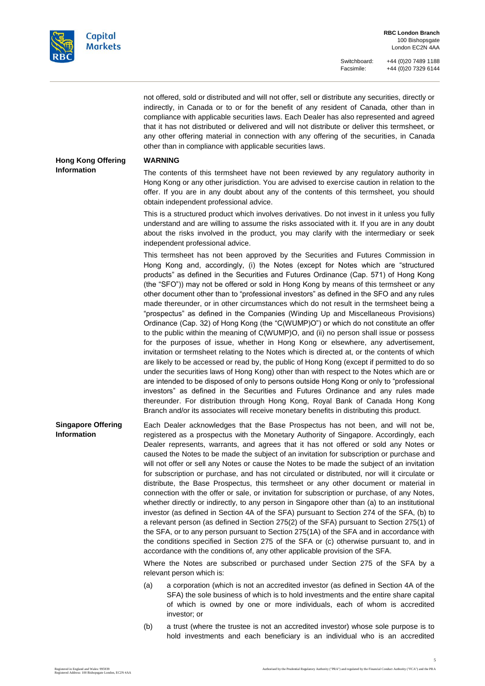

not offered, sold or distributed and will not offer, sell or distribute any securities, directly or indirectly, in Canada or to or for the benefit of any resident of Canada, other than in compliance with applicable securities laws. Each Dealer has also represented and agreed that it has not distributed or delivered and will not distribute or deliver this termsheet, or any other offering material in connection with any offering of the securities, in Canada other than in compliance with applicable securities laws.

**Hong Kong Offering Information**

#### **WARNING**

The contents of this termsheet have not been reviewed by any regulatory authority in Hong Kong or any other jurisdiction. You are advised to exercise caution in relation to the offer. If you are in any doubt about any of the contents of this termsheet, you should obtain independent professional advice.

This is a structured product which involves derivatives. Do not invest in it unless you fully understand and are willing to assume the risks associated with it. If you are in any doubt about the risks involved in the product, you may clarify with the intermediary or seek independent professional advice.

This termsheet has not been approved by the Securities and Futures Commission in Hong Kong and, accordingly, (i) the Notes (except for Notes which are "structured products" as defined in the Securities and Futures Ordinance (Cap. 571) of Hong Kong (the "SFO")) may not be offered or sold in Hong Kong by means of this termsheet or any other document other than to "professional investors" as defined in the SFO and any rules made thereunder, or in other circumstances which do not result in the termsheet being a "prospectus" as defined in the Companies (Winding Up and Miscellaneous Provisions) Ordinance (Cap. 32) of Hong Kong (the "C(WUMP)O") or which do not constitute an offer to the public within the meaning of C(WUMP)O, and (ii) no person shall issue or possess for the purposes of issue, whether in Hong Kong or elsewhere, any advertisement, invitation or termsheet relating to the Notes which is directed at, or the contents of which are likely to be accessed or read by, the public of Hong Kong (except if permitted to do so under the securities laws of Hong Kong) other than with respect to the Notes which are or are intended to be disposed of only to persons outside Hong Kong or only to "professional investors" as defined in the Securities and Futures Ordinance and any rules made thereunder. For distribution through Hong Kong, Royal Bank of Canada Hong Kong Branch and/or its associates will receive monetary benefits in distributing this product.

**Singapore Offering Information** Each Dealer acknowledges that the Base Prospectus has not been, and will not be, registered as a prospectus with the Monetary Authority of Singapore. Accordingly, each Dealer represents, warrants, and agrees that it has not offered or sold any Notes or caused the Notes to be made the subject of an invitation for subscription or purchase and will not offer or sell any Notes or cause the Notes to be made the subject of an invitation for subscription or purchase, and has not circulated or distributed, nor will it circulate or distribute, the Base Prospectus, this termsheet or any other document or material in connection with the offer or sale, or invitation for subscription or purchase, of any Notes, whether directly or indirectly, to any person in Singapore other than (a) to an institutional investor (as defined in Section 4A of the SFA) pursuant to Section 274 of the SFA, (b) to a relevant person (as defined in Section 275(2) of the SFA) pursuant to Section 275(1) of the SFA, or to any person pursuant to Section 275(1A) of the SFA and in accordance with the conditions specified in Section 275 of the SFA or (c) otherwise pursuant to, and in accordance with the conditions of, any other applicable provision of the SFA.

> Where the Notes are subscribed or purchased under Section 275 of the SFA by a relevant person which is:

- (a) a corporation (which is not an accredited investor (as defined in Section 4A of the SFA) the sole business of which is to hold investments and the entire share capital of which is owned by one or more individuals, each of whom is accredited investor; or
- (b) a trust (where the trustee is not an accredited investor) whose sole purpose is to hold investments and each beneficiary is an individual who is an accredited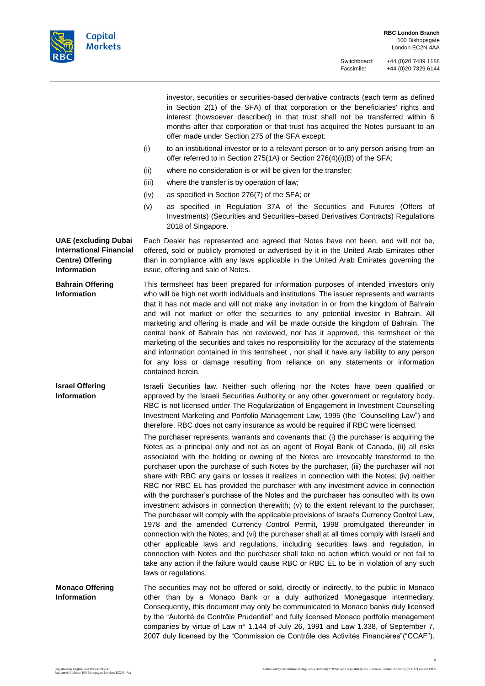

| investor, securities or securities-based derivative contracts (each term as defined |
|-------------------------------------------------------------------------------------|
| in Section 2(1) of the SFA) of that corporation or the beneficiaries' rights and    |
| interest (howsoever described) in that trust shall not be transferred within 6      |
| months after that corporation or that trust has acquired the Notes pursuant to an   |
| offer made under Section 275 of the SFA except:                                     |

- (i) to an institutional investor or to a relevant person or to any person arising from an offer referred to in Section 275(1A) or Section 276(4)(i)(B) of the SFA;
- (ii) where no consideration is or will be given for the transfer;
- (iii) where the transfer is by operation of law;
- (iv) as specified in Section 276(7) of the SFA; or
- (v) as specified in Regulation 37A of the Securities and Futures (Offers of Investments) (Securities and Securities–based Derivatives Contracts) Regulations 2018 of Singapore.

**UAE (excluding Dubai International Financial Centre) Offering Information** Each Dealer has represented and agreed that Notes have not been, and will not be, offered, sold or publicly promoted or advertised by it in the United Arab Emirates other than in compliance with any laws applicable in the United Arab Emirates governing the issue, offering and sale of Notes.

**Bahrain Offering Information** This termsheet has been prepared for information purposes of intended investors only who will be high net worth individuals and institutions. The issuer represents and warrants that it has not made and will not make any invitation in or from the kingdom of Bahrain and will not market or offer the securities to any potential investor in Bahrain. All marketing and offering is made and will be made outside the kingdom of Bahrain. The central bank of Bahrain has not reviewed, nor has it approved, this termsheet or the marketing of the securities and takes no responsibility for the accuracy of the statements and information contained in this termsheet , nor shall it have any liability to any person for any loss or damage resulting from reliance on any statements or information contained herein.

**Israel Offering Information** Israeli Securities law. Neither such offering nor the Notes have been qualified or approved by the Israeli Securities Authority or any other government or regulatory body. RBC is not licensed under The Regularization of Engagement in Investment Counselling Investment Marketing and Portfolio Management Law, 1995 (the "Counselling Law") and therefore, RBC does not carry insurance as would be required if RBC were licensed.

> The purchaser represents, warrants and covenants that: (i) the purchaser is acquiring the Notes as a principal only and not as an agent of Royal Bank of Canada, (ii) all risks associated with the holding or owning of the Notes are irrevocably transferred to the purchaser upon the purchase of such Notes by the purchaser, (iii) the purchaser will not share with RBC any gains or losses it realizes in connection with the Notes; (iv) neither RBC nor RBC EL has provided the purchaser with any investment advice in connection with the purchaser's purchase of the Notes and the purchaser has consulted with its own investment advisors in connection therewith; (v) to the extent relevant to the purchaser. The purchaser will comply with the applicable provisions of Israel's Currency Control Law, 1978 and the amended Currency Control Permit, 1998 promulgated thereunder in connection with the Notes; and (vi) the purchaser shall at all times comply with Israeli and other applicable laws and regulations, including securities laws and regulation, in connection with Notes and the purchaser shall take no action which would or not fail to take any action if the failure would cause RBC or RBC EL to be in violation of any such laws or regulations.

**Monaco Offering Information** The securities may not be offered or sold, directly or indirectly, to the public in Monaco other than by a Monaco Bank or a duly authorized Monegasque intermediary. Consequently, this document may only be communicated to Monaco banks duly licensed by the "Autorité de Contrôle Prudentiel" and fully licensed Monaco portfolio management companies by virtue of Law n° 1.144 of July 26, 1991 and Law 1.338, of September 7, 2007 duly licensed by the "Commission de Contrôle des Activités Financières"("CCAF").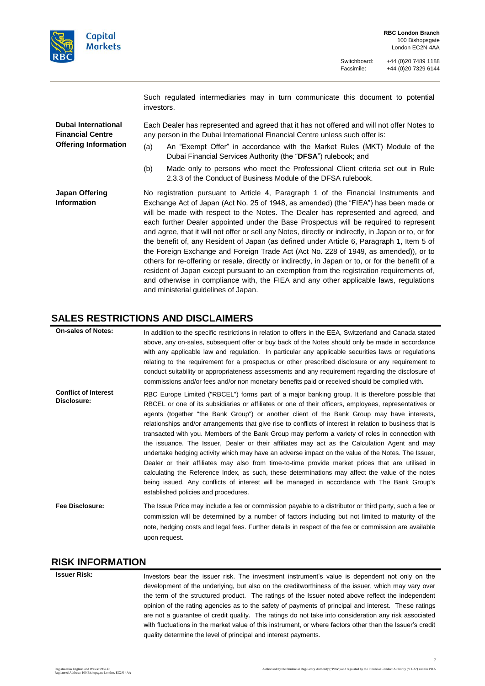

Such regulated intermediaries may in turn communicate this document to potential investors.

**Dubai International Financial Centre Offering Information** Each Dealer has represented and agreed that it has not offered and will not offer Notes to any person in the Dubai International Financial Centre unless such offer is:

- (a) An "Exempt Offer" in accordance with the Market Rules (MKT) Module of the Dubai Financial Services Authority (the "**DFSA**") rulebook; and
- (b) Made only to persons who meet the Professional Client criteria set out in Rule 2.3.3 of the Conduct of Business Module of the DFSA rulebook.

**Japan Offering Information** No registration pursuant to Article 4, Paragraph 1 of the Financial Instruments and Exchange Act of Japan (Act No. 25 of 1948, as amended) (the "FIEA") has been made or will be made with respect to the Notes. The Dealer has represented and agreed, and each further Dealer appointed under the Base Prospectus will be required to represent and agree, that it will not offer or sell any Notes, directly or indirectly, in Japan or to, or for the benefit of, any Resident of Japan (as defined under Article 6, Paragraph 1, Item 5 of the Foreign Exchange and Foreign Trade Act (Act No. 228 of 1949, as amended)), or to others for re-offering or resale, directly or indirectly, in Japan or to, or for the benefit of a resident of Japan except pursuant to an exemption from the registration requirements of, and otherwise in compliance with, the FIEA and any other applicable laws, regulations and ministerial guidelines of Japan.

## **SALES RESTRICTIONS AND DISCLAIMERS**

| <b>On-sales of Notes:</b>                  | In addition to the specific restrictions in relation to offers in the EEA, Switzerland and Canada stated<br>above, any on-sales, subsequent offer or buy back of the Notes should only be made in accordance<br>with any applicable law and regulation. In particular any applicable securities laws or regulations<br>relating to the requirement for a prospectus or other prescribed disclosure or any requirement to<br>conduct suitability or appropriateness assessments and any requirement regarding the disclosure of<br>commissions and/or fees and/or non monetary benefits paid or received should be complied with.                                                                                                                                                                                                                                                                                                                                                                                                                                               |
|--------------------------------------------|--------------------------------------------------------------------------------------------------------------------------------------------------------------------------------------------------------------------------------------------------------------------------------------------------------------------------------------------------------------------------------------------------------------------------------------------------------------------------------------------------------------------------------------------------------------------------------------------------------------------------------------------------------------------------------------------------------------------------------------------------------------------------------------------------------------------------------------------------------------------------------------------------------------------------------------------------------------------------------------------------------------------------------------------------------------------------------|
| <b>Conflict of Interest</b><br>Disclosure: | RBC Europe Limited ("RBCEL") forms part of a major banking group. It is therefore possible that<br>RBCEL or one of its subsidiaries or affiliates or one of their officers, employees, representatives or<br>agents (together "the Bank Group") or another client of the Bank Group may have interests,<br>relationships and/or arrangements that give rise to conflicts of interest in relation to business that is<br>transacted with you. Members of the Bank Group may perform a variety of roles in connection with<br>the issuance. The Issuer, Dealer or their affiliates may act as the Calculation Agent and may<br>undertake hedging activity which may have an adverse impact on the value of the Notes. The Issuer,<br>Dealer or their affiliates may also from time-to-time provide market prices that are utilised in<br>calculating the Reference Index, as such, these determinations may affect the value of the notes<br>being issued. Any conflicts of interest will be managed in accordance with The Bank Group's<br>established policies and procedures. |
| Fee Disclosure:                            | The Issue Price may include a fee or commission payable to a distributor or third party, such a fee or<br>commission will be determined by a number of factors including but not limited to maturity of the<br>note, hedging costs and legal fees. Further details in respect of the fee or commission are available<br>upon request.                                                                                                                                                                                                                                                                                                                                                                                                                                                                                                                                                                                                                                                                                                                                          |

#### **RISK INFORMATION**

**Issuer Risk:** Investors bear the issuer risk. The investment instrument's value is dependent not only on the development of the underlying, but also on the creditworthiness of the issuer, which may vary over the term of the structured product. The ratings of the Issuer noted above reflect the independent opinion of the rating agencies as to the safety of payments of principal and interest. These ratings are not a guarantee of credit quality. The ratings do not take into consideration any risk associated with fluctuations in the market value of this instrument, or where factors other than the Issuer's credit quality determine the level of principal and interest payments.